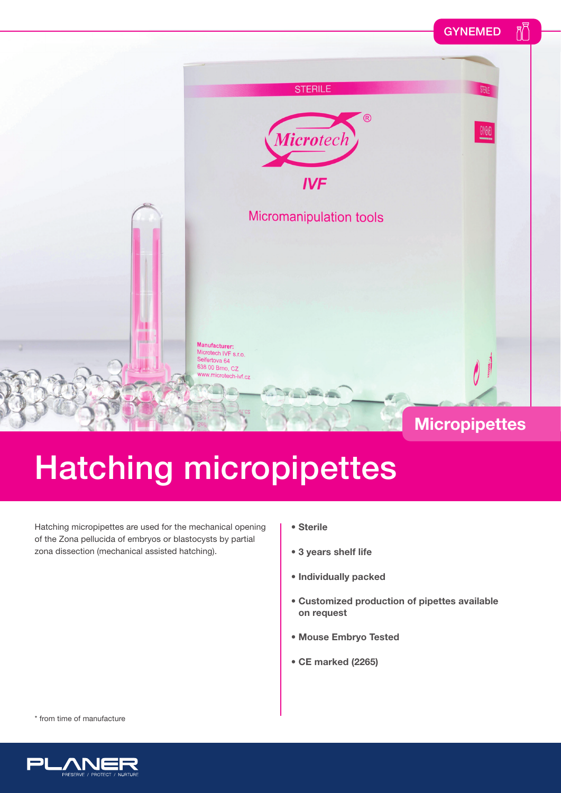#### **GYNEMED**  $R^{\overline{F}}$



## Hatching micropipettes

Hatching micropipettes are used for the mechanical opening of the Zona pellucida of embryos or blastocysts by partial zona dissection (mechanical assisted hatching).

- **Sterile**
- **3 years shelf life**
- **Individually packed**
- **Customized production of pipettes available on request**
- **Mouse Embryo Tested**
- **CE marked (2265)**

\* from time of manufacture